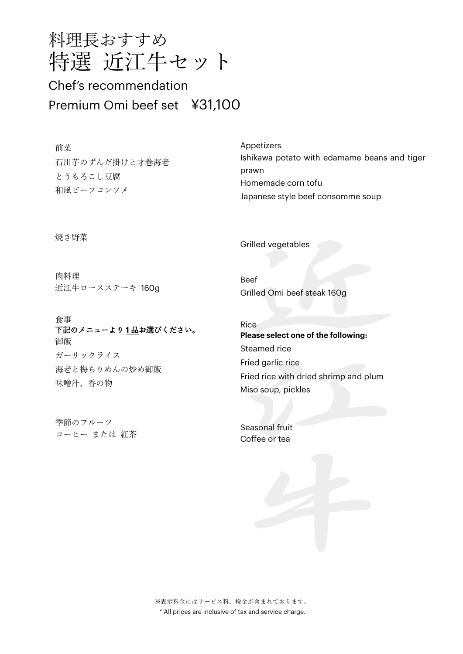

## Chef's recommendation Premium Omi beef set ¥31,100

前菜 石川芋のずんだ掛けと才巻海老 とうもろこし豆腐 和風ビーフコンソメ

焼き野菜

肉料理 近江牛ロースステーキ 160g

食事 下記のメニューより **1** 品お選びください。 御飯 ガーリックライス 海老と梅ちりめんの炒め御飯 味噌汁、香の物

季節のフルーツ コーヒー または 紅茶

Appetizers Ishikawa potato with edamame beans and tiger prawn Homemade corn tofu Japanese style beef consomme soup

Grilled vegetables

Beef Grilled Omi beef steak 160g

Rice **Please select one of the following:**  Steamed rice Fried garlic rice Fried rice with dried shrimp and plum Miso soup, pickles

Seasonal fruit Coffee or tea

※表示料金にはサービス料、税金が含まれております。 \* All prices are inclusive of tax and service charge.